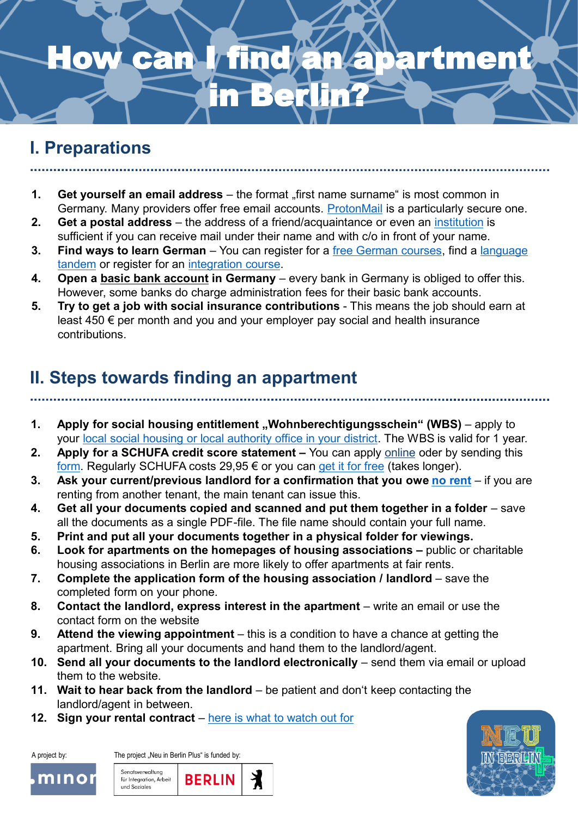## can I find an apartment **Berl**

### **I. Preparations**

- **1. Get yourself an email address** the format "first name surname" is most common in Germany. Many providers offer free email accounts. [ProtonMail](http://www.protonmail.com/) is a particularly secure one.
- **2. Get a postal address**  the address of a friend/acquaintance or even an [institution](https://www.wohnungslos-berlin.de/offering-information-advice/) is sufficient if you can receive mail under their name and with c/o in front of your name.
- **3. Find ways to learn German** You can register for a free German courses, find a language tandem or register for an [integration course.](https://www.berlin.de/vhs/kurse/deutsch-integration/integrationskurse/)
- **4. Open a [basic bank account](https://www.bafin.de/EN/Verbraucher/Bank/Produkte/Basiskonto/basiskonto_node_en.html) in Germany**  every bank in Germany is obliged to offer this. However, some banks do charge administration fees for their basic bank accounts.
- **5. Try to get a job with social insurance contributions** This means the job should earn at least 450 € per month and you and your employer pay social and health insurance contributions.

#### **II. Steps towards finding an appartment**

- **1.** Apply for social housing entitlement, Wohnberechtigungsschein" (WBS) apply to your [local social housing or local authority office in your district](https://service.berlin.de/dienstleistung/120671/). The WBS is valid for 1 year.
- **2. Apply for a SCHUFA credit score statement –** You can apply [online](https://www.meineschufa.de/index.php?site=7) oder by sending this [form.](https://www.meineschufa.de/downloads/SCHUFA_Infoblatt-BA-Antrag-deutsch.pdf) Regularly SCHUFA costs 29,95 € or you can [get it for free](https://allaboutberlin.com/guides/free-schufa-berlin) (takes longer).
- **3. Ask your current/previous landlord for a confirmation that you owe no [rent](https://www.hu-berlin.de/de/forschung/szf/wiss_nachwuchs/gastwissenschaftlerinnen/mietschuldenfreiheitsbescheinigung.pdf)** if you are renting from another tenant, the main tenant can issue this.
- **4. Get all your documents copied and scanned and put them together in a folder**  save all the documents as a single PDF-file. The file name should contain your full name.
- **5. Print and put all your documents together in a physical folder for viewings.**
- **6. Look for apartments on the homepages of housing associations –** public or charitable housing associations in Berlin are more likely to offer apartments at fair rents.
- **7. Complete the application form of the housing association / landlord** save the completed form on your phone.
- **8. Contact the landlord, express interest in the apartment** write an email or use the contact form on the website
- **9. Attend the viewing appointment** this is a condition to have a chance at getting the apartment. Bring all your documents and hand them to the landlord/agent.
- **10. Send all your documents to the landlord electronically** send them via email or upload them to the website.
- **11. Wait to hear back from the landlord** be patient and don't keep contacting the landlord/agent in between.
- **12. Sign your rental contract** here is [what to watch out for](https://www.redtapetranslation.com/a-guide-to-rental-contracts-in-germany/)



A project by: The project "Neu in Berlin Plus" is funded by: